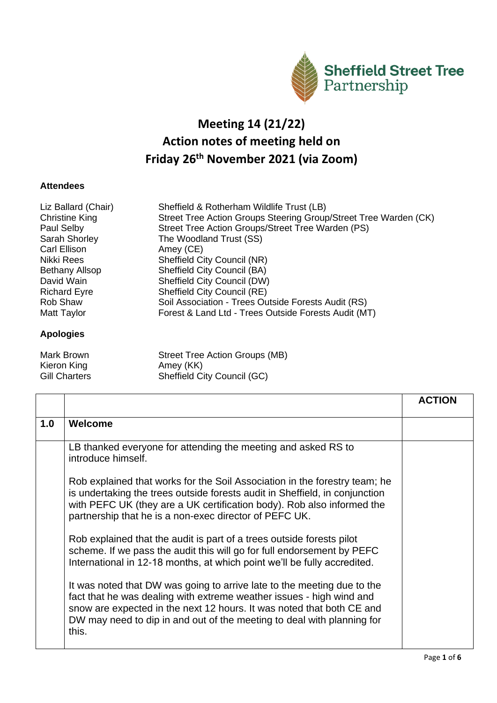

## **Meeting 14 (21/22) Action notes of meeting held on Friday 26 th November 2021 (via Zoom)**

## **Attendees**

| Liz Ballard (Chair)<br><b>Christine King</b><br>Paul Selby | Sheffield & Rotherham Wildlife Trust (LB)<br>Street Tree Action Groups Steering Group/Street Tree Warden (CK)<br>Street Tree Action Groups/Street Tree Warden (PS) |
|------------------------------------------------------------|--------------------------------------------------------------------------------------------------------------------------------------------------------------------|
| Sarah Shorley                                              | The Woodland Trust (SS)                                                                                                                                            |
| Carl Ellison                                               | Amey (CE)                                                                                                                                                          |
| Nikki Rees                                                 | Sheffield City Council (NR)                                                                                                                                        |
| <b>Bethany Allsop</b>                                      | <b>Sheffield City Council (BA)</b>                                                                                                                                 |
| David Wain                                                 | Sheffield City Council (DW)                                                                                                                                        |
| <b>Richard Eyre</b>                                        | Sheffield City Council (RE)                                                                                                                                        |
| <b>Rob Shaw</b>                                            | Soil Association - Trees Outside Forests Audit (RS)                                                                                                                |
| Matt Taylor                                                | Forest & Land Ltd - Trees Outside Forests Audit (MT)                                                                                                               |
| <b>Apologies</b>                                           |                                                                                                                                                                    |

| Mark Brown    | Street Tree Action Groups (MB) |
|---------------|--------------------------------|
| Kieron King   | Amey (KK)                      |
| Gill Charters | Sheffield City Council (GC)    |

|     |                                                                                                                                                                                                                                                                                                             | <b>ACTION</b> |
|-----|-------------------------------------------------------------------------------------------------------------------------------------------------------------------------------------------------------------------------------------------------------------------------------------------------------------|---------------|
| 1.0 | Welcome                                                                                                                                                                                                                                                                                                     |               |
|     | LB thanked everyone for attending the meeting and asked RS to<br>introduce himself.                                                                                                                                                                                                                         |               |
|     | Rob explained that works for the Soil Association in the forestry team; he<br>is undertaking the trees outside forests audit in Sheffield, in conjunction<br>with PEFC UK (they are a UK certification body). Rob also informed the<br>partnership that he is a non-exec director of PEFC UK.               |               |
|     | Rob explained that the audit is part of a trees outside forests pilot<br>scheme. If we pass the audit this will go for full endorsement by PEFC<br>International in 12-18 months, at which point we'll be fully accredited.                                                                                 |               |
|     | It was noted that DW was going to arrive late to the meeting due to the<br>fact that he was dealing with extreme weather issues - high wind and<br>snow are expected in the next 12 hours. It was noted that both CE and<br>DW may need to dip in and out of the meeting to deal with planning for<br>this. |               |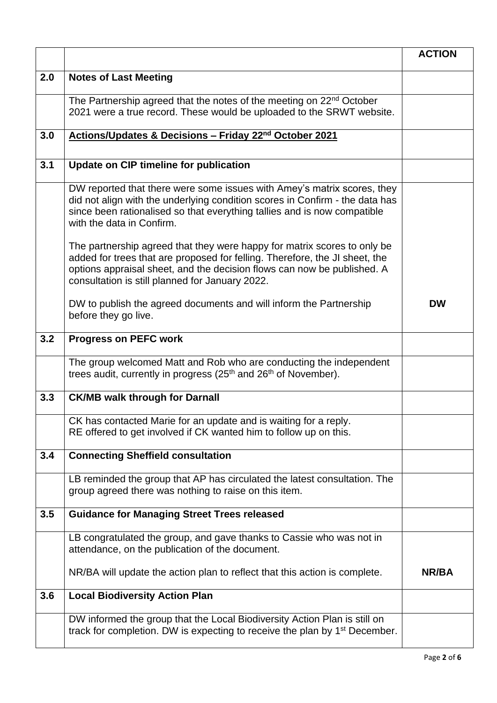|     |                                                                                                                                                                                                                                                                                       | <b>ACTION</b> |
|-----|---------------------------------------------------------------------------------------------------------------------------------------------------------------------------------------------------------------------------------------------------------------------------------------|---------------|
| 2.0 | <b>Notes of Last Meeting</b>                                                                                                                                                                                                                                                          |               |
|     | The Partnership agreed that the notes of the meeting on 22 <sup>nd</sup> October<br>2021 were a true record. These would be uploaded to the SRWT website.                                                                                                                             |               |
| 3.0 | Actions/Updates & Decisions - Friday 22 <sup>nd</sup> October 2021                                                                                                                                                                                                                    |               |
| 3.1 | <b>Update on CIP timeline for publication</b>                                                                                                                                                                                                                                         |               |
|     | DW reported that there were some issues with Amey's matrix scores, they<br>did not align with the underlying condition scores in Confirm - the data has<br>since been rationalised so that everything tallies and is now compatible<br>with the data in Confirm.                      |               |
|     | The partnership agreed that they were happy for matrix scores to only be<br>added for trees that are proposed for felling. Therefore, the JI sheet, the<br>options appraisal sheet, and the decision flows can now be published. A<br>consultation is still planned for January 2022. |               |
|     | DW to publish the agreed documents and will inform the Partnership<br>before they go live.                                                                                                                                                                                            | <b>DW</b>     |
| 3.2 | <b>Progress on PEFC work</b>                                                                                                                                                                                                                                                          |               |
|     | The group welcomed Matt and Rob who are conducting the independent<br>trees audit, currently in progress (25 <sup>th</sup> and 26 <sup>th</sup> of November).                                                                                                                         |               |
| 3.3 | <b>CK/MB walk through for Darnall</b>                                                                                                                                                                                                                                                 |               |
|     | CK has contacted Marie for an update and is waiting for a reply.<br>RE offered to get involved if CK wanted him to follow up on this.                                                                                                                                                 |               |
| 3.4 | <b>Connecting Sheffield consultation</b>                                                                                                                                                                                                                                              |               |
|     | LB reminded the group that AP has circulated the latest consultation. The<br>group agreed there was nothing to raise on this item.                                                                                                                                                    |               |
| 3.5 | <b>Guidance for Managing Street Trees released</b>                                                                                                                                                                                                                                    |               |
|     | LB congratulated the group, and gave thanks to Cassie who was not in<br>attendance, on the publication of the document.                                                                                                                                                               |               |
|     | NR/BA will update the action plan to reflect that this action is complete.                                                                                                                                                                                                            | NR/BA         |
| 3.6 | <b>Local Biodiversity Action Plan</b>                                                                                                                                                                                                                                                 |               |
|     | DW informed the group that the Local Biodiversity Action Plan is still on<br>track for completion. DW is expecting to receive the plan by 1 <sup>st</sup> December.                                                                                                                   |               |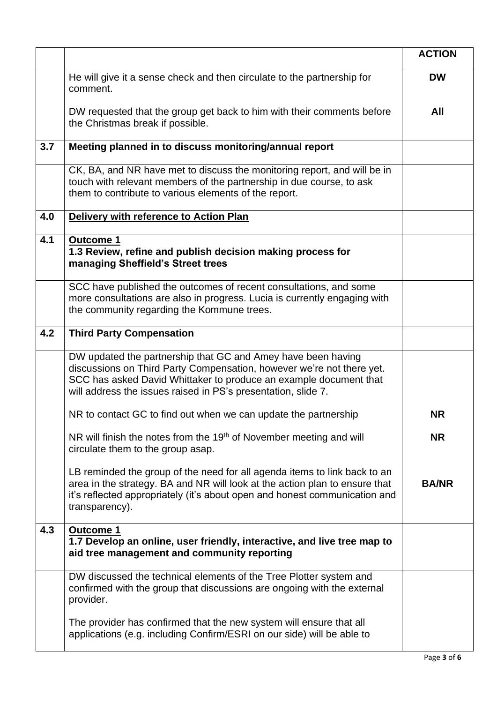|     |                                                                                                                                                                                                                                                                             | <b>ACTION</b> |
|-----|-----------------------------------------------------------------------------------------------------------------------------------------------------------------------------------------------------------------------------------------------------------------------------|---------------|
|     | He will give it a sense check and then circulate to the partnership for<br>comment.                                                                                                                                                                                         | <b>DW</b>     |
|     | DW requested that the group get back to him with their comments before<br>the Christmas break if possible.                                                                                                                                                                  | All           |
| 3.7 | Meeting planned in to discuss monitoring/annual report                                                                                                                                                                                                                      |               |
|     | CK, BA, and NR have met to discuss the monitoring report, and will be in<br>touch with relevant members of the partnership in due course, to ask<br>them to contribute to various elements of the report.                                                                   |               |
| 4.0 | Delivery with reference to Action Plan                                                                                                                                                                                                                                      |               |
| 4.1 | <b>Outcome 1</b><br>1.3 Review, refine and publish decision making process for<br>managing Sheffield's Street trees                                                                                                                                                         |               |
|     | SCC have published the outcomes of recent consultations, and some<br>more consultations are also in progress. Lucia is currently engaging with<br>the community regarding the Kommune trees.                                                                                |               |
| 4.2 | <b>Third Party Compensation</b>                                                                                                                                                                                                                                             |               |
|     | DW updated the partnership that GC and Amey have been having<br>discussions on Third Party Compensation, however we're not there yet.<br>SCC has asked David Whittaker to produce an example document that<br>will address the issues raised in PS's presentation, slide 7. |               |
|     | NR to contact GC to find out when we can update the partnership                                                                                                                                                                                                             | <b>NR</b>     |
|     | NR will finish the notes from the 19 <sup>th</sup> of November meeting and will<br>circulate them to the group asap.                                                                                                                                                        | <b>NR</b>     |
|     | LB reminded the group of the need for all agenda items to link back to an<br>area in the strategy. BA and NR will look at the action plan to ensure that<br>it's reflected appropriately (it's about open and honest communication and<br>transparency).                    | <b>BA/NR</b>  |
| 4.3 | Outcome 1<br>1.7 Develop an online, user friendly, interactive, and live tree map to<br>aid tree management and community reporting                                                                                                                                         |               |
|     | DW discussed the technical elements of the Tree Plotter system and<br>confirmed with the group that discussions are ongoing with the external<br>provider.                                                                                                                  |               |
|     | The provider has confirmed that the new system will ensure that all<br>applications (e.g. including Confirm/ESRI on our side) will be able to                                                                                                                               |               |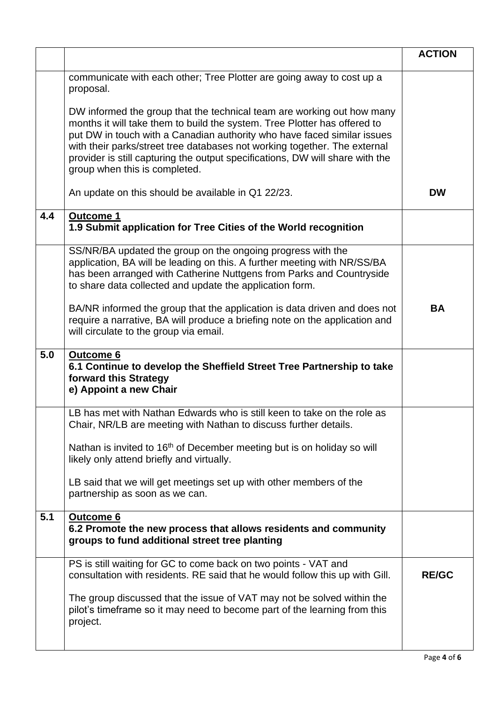|     |                                                                                                                                                                                                                                                                                                                                                                                                                               | <b>ACTION</b> |
|-----|-------------------------------------------------------------------------------------------------------------------------------------------------------------------------------------------------------------------------------------------------------------------------------------------------------------------------------------------------------------------------------------------------------------------------------|---------------|
|     | communicate with each other; Tree Plotter are going away to cost up a<br>proposal.                                                                                                                                                                                                                                                                                                                                            |               |
|     | DW informed the group that the technical team are working out how many<br>months it will take them to build the system. Tree Plotter has offered to<br>put DW in touch with a Canadian authority who have faced similar issues<br>with their parks/street tree databases not working together. The external<br>provider is still capturing the output specifications, DW will share with the<br>group when this is completed. |               |
|     | An update on this should be available in Q1 22/23.                                                                                                                                                                                                                                                                                                                                                                            | <b>DW</b>     |
| 4.4 | <b>Outcome 1</b><br>1.9 Submit application for Tree Cities of the World recognition                                                                                                                                                                                                                                                                                                                                           |               |
|     | SS/NR/BA updated the group on the ongoing progress with the<br>application, BA will be leading on this. A further meeting with NR/SS/BA<br>has been arranged with Catherine Nuttgens from Parks and Countryside<br>to share data collected and update the application form.                                                                                                                                                   |               |
|     | BA/NR informed the group that the application is data driven and does not<br>require a narrative, BA will produce a briefing note on the application and<br>will circulate to the group via email.                                                                                                                                                                                                                            | <b>BA</b>     |
| 5.0 | <b>Outcome 6</b><br>6.1 Continue to develop the Sheffield Street Tree Partnership to take<br>forward this Strategy<br>e) Appoint a new Chair                                                                                                                                                                                                                                                                                  |               |
|     | LB has met with Nathan Edwards who is still keen to take on the role as<br>Chair, NR/LB are meeting with Nathan to discuss further details.                                                                                                                                                                                                                                                                                   |               |
|     | Nathan is invited to 16 <sup>th</sup> of December meeting but is on holiday so will<br>likely only attend briefly and virtually.                                                                                                                                                                                                                                                                                              |               |
|     | LB said that we will get meetings set up with other members of the<br>partnership as soon as we can.                                                                                                                                                                                                                                                                                                                          |               |
| 5.1 | Outcome 6<br>6.2 Promote the new process that allows residents and community<br>groups to fund additional street tree planting                                                                                                                                                                                                                                                                                                |               |
|     | PS is still waiting for GC to come back on two points - VAT and<br>consultation with residents. RE said that he would follow this up with Gill.                                                                                                                                                                                                                                                                               | <b>RE/GC</b>  |
|     | The group discussed that the issue of VAT may not be solved within the<br>pilot's timeframe so it may need to become part of the learning from this<br>project.                                                                                                                                                                                                                                                               |               |
|     |                                                                                                                                                                                                                                                                                                                                                                                                                               |               |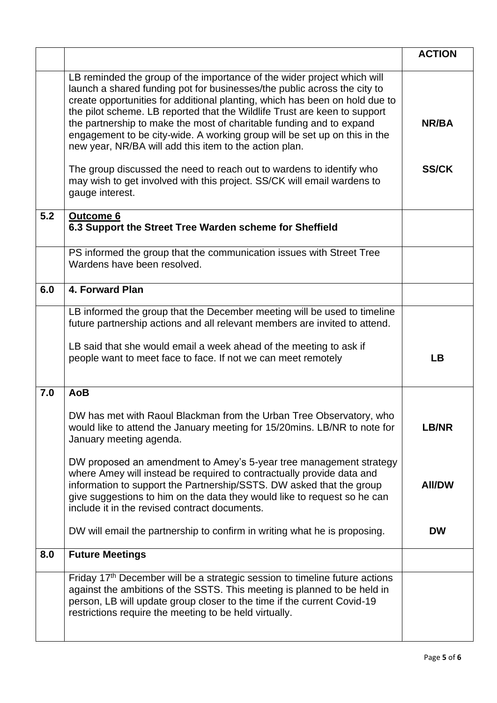|     |                                                                                                                                                                                                                                                                                                                                                                                                                                                                                                                                                                                                                                                                                                      | <b>ACTION</b>         |
|-----|------------------------------------------------------------------------------------------------------------------------------------------------------------------------------------------------------------------------------------------------------------------------------------------------------------------------------------------------------------------------------------------------------------------------------------------------------------------------------------------------------------------------------------------------------------------------------------------------------------------------------------------------------------------------------------------------------|-----------------------|
|     | LB reminded the group of the importance of the wider project which will<br>launch a shared funding pot for businesses/the public across the city to<br>create opportunities for additional planting, which has been on hold due to<br>the pilot scheme. LB reported that the Wildlife Trust are keen to support<br>the partnership to make the most of charitable funding and to expand<br>engagement to be city-wide. A working group will be set up on this in the<br>new year, NR/BA will add this item to the action plan.<br>The group discussed the need to reach out to wardens to identify who<br>may wish to get involved with this project. SS/CK will email wardens to<br>gauge interest. | NR/BA<br><b>SS/CK</b> |
| 5.2 | <b>Outcome 6</b><br>6.3 Support the Street Tree Warden scheme for Sheffield                                                                                                                                                                                                                                                                                                                                                                                                                                                                                                                                                                                                                          |                       |
|     | PS informed the group that the communication issues with Street Tree<br>Wardens have been resolved.                                                                                                                                                                                                                                                                                                                                                                                                                                                                                                                                                                                                  |                       |
| 6.0 | 4. Forward Plan                                                                                                                                                                                                                                                                                                                                                                                                                                                                                                                                                                                                                                                                                      |                       |
|     | LB informed the group that the December meeting will be used to timeline<br>future partnership actions and all relevant members are invited to attend.<br>LB said that she would email a week ahead of the meeting to ask if<br>people want to meet face to face. If not we can meet remotely                                                                                                                                                                                                                                                                                                                                                                                                        | <b>LB</b>             |
| 7.0 | <b>AoB</b>                                                                                                                                                                                                                                                                                                                                                                                                                                                                                                                                                                                                                                                                                           |                       |
|     | DW has met with Raoul Blackman from the Urban Tree Observatory, who<br>would like to attend the January meeting for 15/20mins. LB/NR to note for<br>January meeting agenda.                                                                                                                                                                                                                                                                                                                                                                                                                                                                                                                          | LB/NR                 |
|     | DW proposed an amendment to Amey's 5-year tree management strategy<br>where Amey will instead be required to contractually provide data and<br>information to support the Partnership/SSTS. DW asked that the group<br>give suggestions to him on the data they would like to request so he can<br>include it in the revised contract documents.                                                                                                                                                                                                                                                                                                                                                     | <b>AII/DW</b>         |
|     | DW will email the partnership to confirm in writing what he is proposing.                                                                                                                                                                                                                                                                                                                                                                                                                                                                                                                                                                                                                            | <b>DW</b>             |
| 8.0 | <b>Future Meetings</b>                                                                                                                                                                                                                                                                                                                                                                                                                                                                                                                                                                                                                                                                               |                       |
|     | Friday 17 <sup>th</sup> December will be a strategic session to timeline future actions<br>against the ambitions of the SSTS. This meeting is planned to be held in<br>person, LB will update group closer to the time if the current Covid-19<br>restrictions require the meeting to be held virtually.                                                                                                                                                                                                                                                                                                                                                                                             |                       |